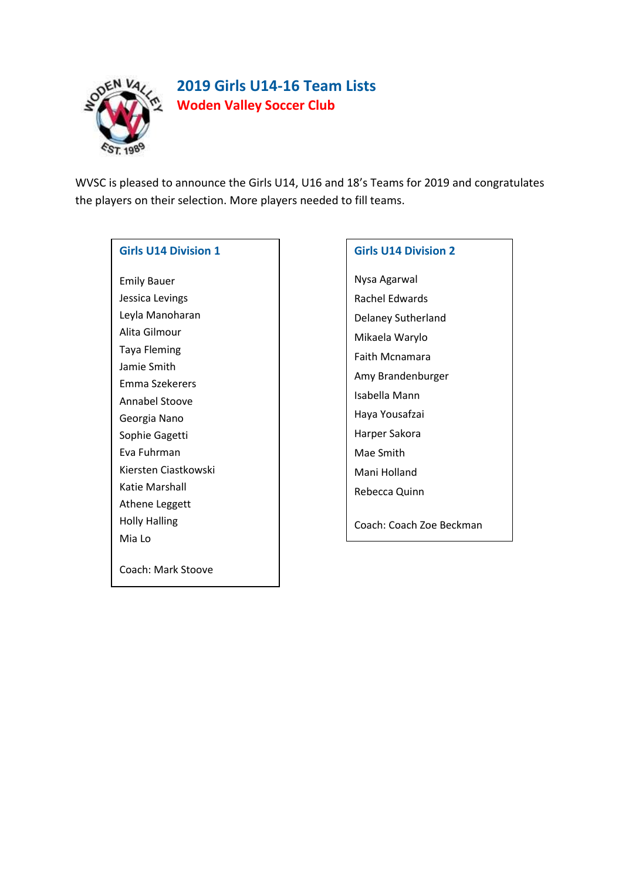

# **2019 Girls U14-16 Team Lists Woden Valley Soccer Club**

WVSC is pleased to announce the Girls U14, U16 and 18's Teams for 2019 and congratulates the players on their selection. More players needed to fill teams.

### **Girls U14 Division 1**

Emily Bauer Jessica Levings Leyla Manoharan Alita Gilmour Taya Fleming Jamie Smith Emma Szekerers Annabel Stoove Georgia Nano Sophie Gagetti Eva Fuhrman Kiersten Ciastkowski Katie Marshall Athene Leggett Holly Halling Mia Lo Coach: Mark Stoove

# **Girls U14 Division 2**

Nysa Agarwal Rachel Edwards Delaney Sutherland Mikaela Warylo Faith Mcnamara Amy Brandenburger Isabella Mann Haya Yousafzai Harper Sakora Mae Smith Mani Holland Rebecca Quinn

Coach: Coach Zoe Beckman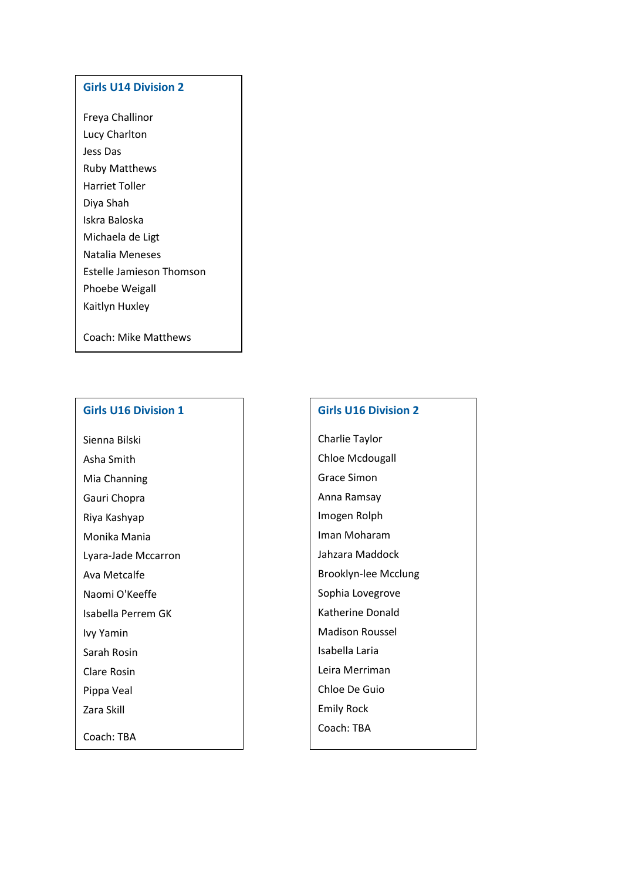#### **Girls U14 Division 2**

Freya Challinor Lucy Charlton Jess Das Ruby Matthews Harriet Toller Diya Shah Iskra Baloska Michaela de Ligt Natalia Meneses Estelle Jamieson Thomson Phoebe Weigall Kaitlyn Huxley

Coach: Mike Matthews

#### **Girls U16 Division 1**

Sienna Bilski Asha Smith Mia Channing Gauri Chopra Riya Kashyap Monika Mania Lyara-Jade Mccarron Ava Metcalfe Naomi O'Keeffe Isabella Perrem GK Ivy Yamin Sarah Rosin Clare Rosin Pippa Veal Zara Skill

Coach: TBA

#### **Girls U16 Division 2**

Charlie Taylor Chloe Mcdougall Grace Simon Anna Ramsay Imogen Rolph Iman Moharam Jahzara Maddock Brooklyn-lee Mcclung Sophia Lovegrove Katherine Donald Madison Roussel Isabella Laria Leira Merriman Chloe De Guio Emily Rock Coach: TBA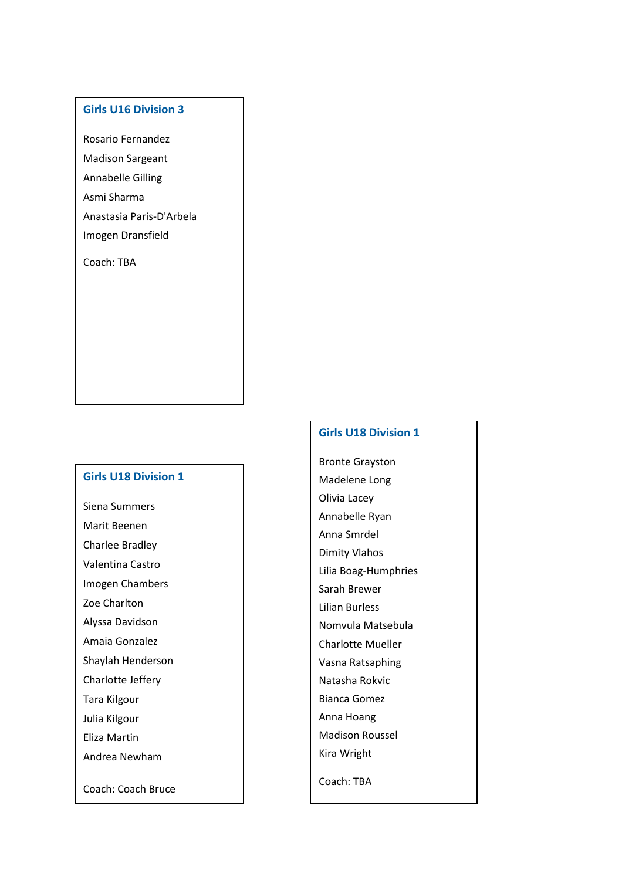#### **Girls U16 Division 3**

Rosario Fernandez Madison Sargeant Annabelle Gilling Asmi Sharma Anastasia Paris-D'Arbela Imogen Dransfield

Coach: TBA

#### **Girls U18 Division 1**

Siena Summers Marit Beenen

Charlee Bradley

Valentina Castro

Imogen Chambers

Zoe Charlton

Alyssa Davidson

Amaia Gonzalez

Shaylah Henderson

Charlotte Jeffery

Tara Kilgour

Julia Kilgour

Eliza Martin

Andrea Newham

Coach: Coach Bruce

#### **Girls U18 Division 1**

Bronte Grayston Madelene Long Olivia Lacey Annabelle Ryan Anna Smrdel Dimity Vlahos Lilia Boag-Humphries Sarah Brewer Lilian Burless Nomvula Matsebula Charlotte Mueller Vasna Ratsaphing Natasha Rokvic Bianca Gomez Anna Hoang Madison Roussel Kira Wright

Coach: TBA